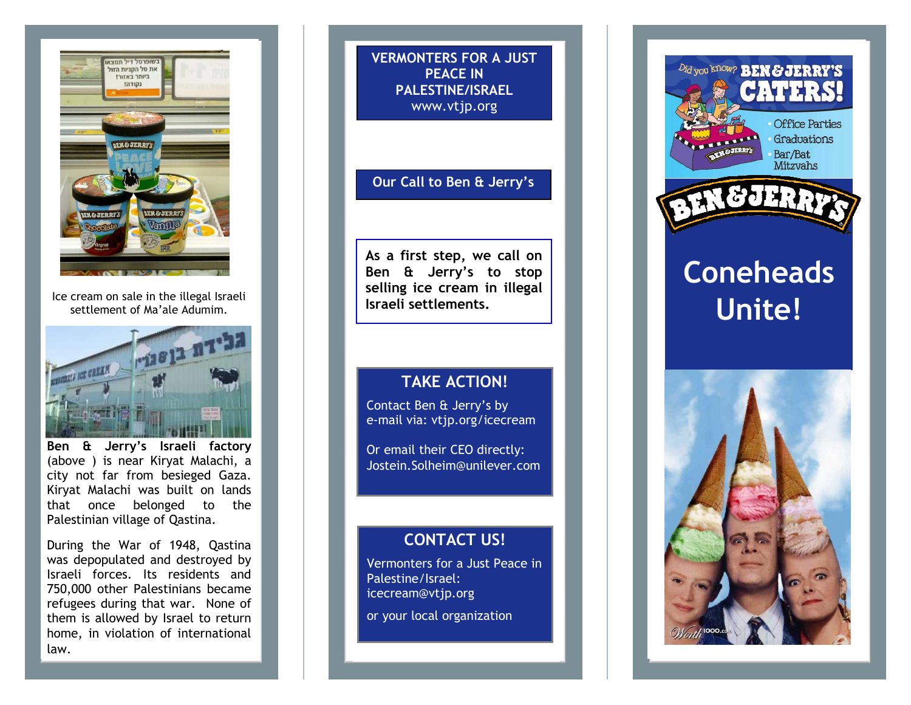

Ice cream on sale in the illegal Israeli settlement of Ma'ale Adumim.



**Ben & Jerry's Israeli factory** (above ) is near Kiryat Malachi, a city not far from besieged Gaza. Kiryat Malachi was built on lands that once belonged to the Palestinian village of Qastina.

During the War of 1948, Qastina was depopulated and destroyed by Israeli forces. Its residents and 750,000 other Palestinians became refugees during that war. None of them is allowed by Israel to return home, in violation of international law.

**VERMONTERS FOR A JUST PEACE IN PALESTINE/ISRAEL** www.vtjp.org

#### **Our Call to Ben & Jerry's**

**As a first step, we call on Ben & Jerry's to stop selling ice cream in illegal Israeli settlements.** 

#### **TAKE ACTION!**

Contact Ben & Jerry's by e-mail via: vtjp.org/icecream

Or email their CEO directly:Jostein.Solheim@unilever.com

### **CONTACT US!**

Vermonters for a Just Peace in Palestine/Israel: icecream@vtjp.org

or your local organization